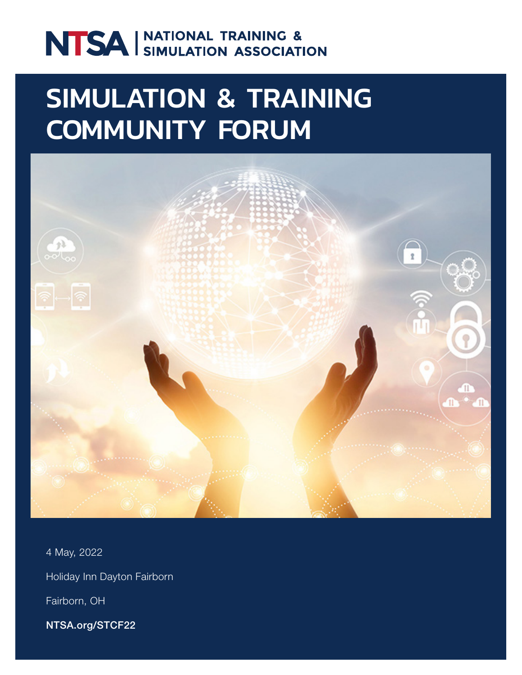# NTSA SIMULATION ASSOCIATION

## SIMULATION & TRAINING COMMUNITY FORUM



4 May, 2022 Holiday Inn Dayton Fairborn Fairborn, OH

NTSA.org/STCF22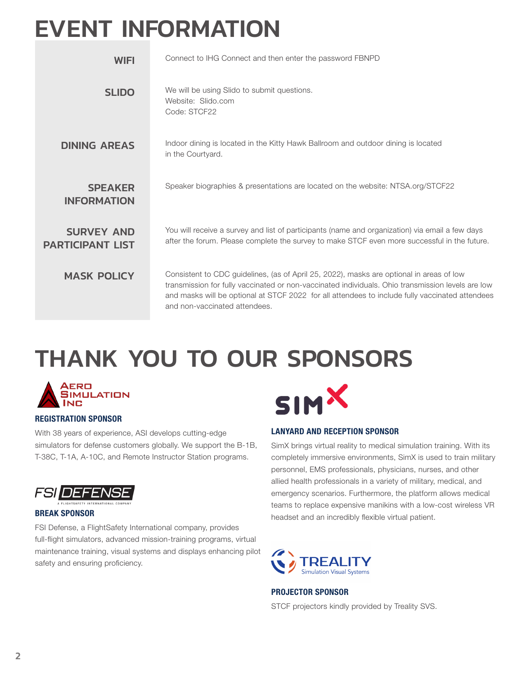## EVENT INFORMATION

| <b>WIFI</b>                                  | Connect to IHG Connect and then enter the password FBNPD                                                                                                                                                                                                                                                                          |
|----------------------------------------------|-----------------------------------------------------------------------------------------------------------------------------------------------------------------------------------------------------------------------------------------------------------------------------------------------------------------------------------|
| <b>SLIDO</b>                                 | We will be using Slido to submit questions.<br>Website: Slido.com<br>Code: STCF22                                                                                                                                                                                                                                                 |
| <b>DINING AREAS</b>                          | Indoor dining is located in the Kitty Hawk Ballroom and outdoor dining is located<br>in the Courtyard.                                                                                                                                                                                                                            |
| <b>SPEAKER</b><br><b>INFORMATION</b>         | Speaker biographies & presentations are located on the website: NTSA.org/STCF22                                                                                                                                                                                                                                                   |
| <b>SURVEY AND</b><br><b>PARTICIPANT LIST</b> | You will receive a survey and list of participants (name and organization) via email a few days<br>after the forum. Please complete the survey to make STCF even more successful in the future.                                                                                                                                   |
| <b>MASK POLICY</b>                           | Consistent to CDC quidelines, (as of April 25, 2022), masks are optional in areas of low<br>transmission for fully vaccinated or non-vaccinated individuals. Ohio transmission levels are low<br>and masks will be optional at STCF 2022 for all attendees to include fully vaccinated attendees<br>and non-vaccinated attendees. |

## THANK YOU TO OUR SPONSORS



### REGISTRATION SPONSOR

With 38 years of experience, ASI develops cutting-edge simulators for defense customers globally. We support the B-1B, T-38C, T-1A, A-10C, and Remote Instructor Station programs.



### BREAK SPONSOR

FSI Defense, a FlightSafety International company, provides full-flight simulators, advanced mission-training programs, virtual maintenance training, visual systems and displays enhancing pilot safety and ensuring proficiency.



### LANYARD AND RECEPTION SPONSOR

SimX brings virtual reality to medical simulation training. With its completely immersive environments, SimX is used to train military personnel, EMS professionals, physicians, nurses, and other allied health professionals in a variety of military, medical, and emergency scenarios. Furthermore, the platform allows medical teams to replace expensive manikins with a low-cost wireless VR headset and an incredibly flexible virtual patient.



### PROJECTOR SPONSOR

STCF projectors kindly provided by Treality SVS.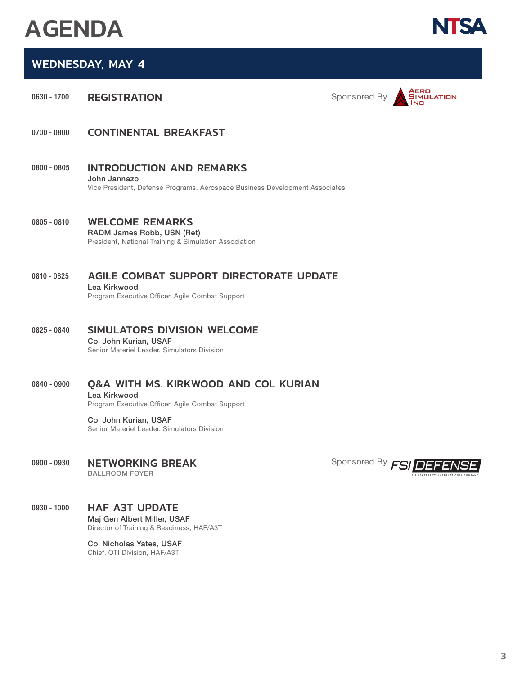## AGENDA

**NTS** 

## WEDNESDAY, MAY 4

0630 - 1700 REGISTRATION **Sponsored By** Sponsored By



- 0700 0800 CONTINENTAL BREAKFAST
- 0800 0805 INTRODUCTION AND REMARKS John Jannazo Vice President, Defense Programs, Aerospace Business Development Associates
- 0805 0810 WELCOME REMARKS RADM James Robb, USN (Ret) President, National Training & Simulation Association
- 0810 0825 AGILE COMBAT SUPPORT DIRECTORATE UPDATE Lea Kirkwood Program Executive Officer, Agile Combat Support
- 0825 0840 SIMULATORS DIVISION WELCOME Col John Kurian, USAF Senior Materiel Leader, Simulators Division

## 0840 - 0900 Q&A WITH MS. KIRKWOOD AND COL KURIAN

Lea Kirkwood Program Executive Officer, Agile Combat Support

Col John Kurian, USAF Senior Materiel Leader, Simulators Division

## 0900 - 0930 NETWORKING BREAK

BALLROOM FOYER

## 0930 - 1000 HAF A3T UPDATE

Maj Gen Albert Miller, USAF Director of Training & Readiness, HAF/A3T

Col Nicholas Yates, USAF Chief, OTI Division, HAF/A3T